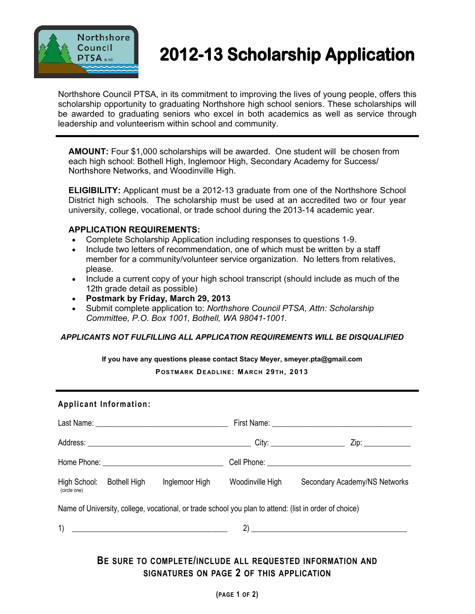

# **2012-13 Scholarship Application**

Northshore Council PTSA, in its commitment to improving the lives of young people, offers this scholarship opportunity to graduating Northshore high school seniors. These scholarships will be awarded to graduating seniors who excel in both academics as well as service through leadership and volunteerism within school and community.

 **AMOUNT:** Four \$1,000 scholarships will be awarded. One student will be chosen from each high school: Bothell High, Inglemoor High, Secondary Academy for Success/ Northshore Networks, and Woodinville High.

**ELIGIBILITY:** Applicant must be a 2012-13 graduate from one of the Northshore School District high schools. The scholarship must be used at an accredited two or four year university, college, vocational, or trade school during the 2013-14 academic year.

## **APPLICATION REQUIREMENTS:**

- Complete Scholarship Application including responses to questions 1-9.
- Include two letters of recommendation, one of which must be written by a staff member for a community/volunteer service organization. No letters from relatives, please.
- Include a current copy of your high school transcript (should include as much of the 12th grade detail as possible)
- **Postmark by Friday, March 29, 2013**
- Submit complete application to: *Northshore Council PTSA, Attn: Scholarship Committee, P.O. Box 1001, Bothell, WA 98041-1001.*

### *APPLICANTS NOT FULFILLING ALL APPLICATION REQUIREMENTS WILL BE DISQUALIFIED*

**If you have any questions please contact Stacy Meyer, smeyer.pta@gmail.com** 

**POSTMARK DEADLINE: M ARCH 29 TH, 2013**

| <b>Applicant Information:</b> |                           |                                                   |                                                                                                        |                               |
|-------------------------------|---------------------------|---------------------------------------------------|--------------------------------------------------------------------------------------------------------|-------------------------------|
|                               |                           |                                                   |                                                                                                        |                               |
|                               |                           |                                                   |                                                                                                        |                               |
|                               |                           |                                                   |                                                                                                        |                               |
| (circle one)                  | High School: Bothell High | Inglemoor High                                    | Woodinville High                                                                                       | Secondary Academy/NS Networks |
|                               |                           |                                                   | Name of University, college, vocational, or trade school you plan to attend: (list in order of choice) |                               |
|                               |                           | $\left  \begin{array}{ccc} 1 \end{array} \right $ |                                                                                                        |                               |
|                               |                           |                                                   |                                                                                                        |                               |

# **BE SURE TO COMPLETE/INCLUDE ALL REQUESTED INFORMATION AND SIGNATURES ON PAGE 2 OF THIS APPLICATION**